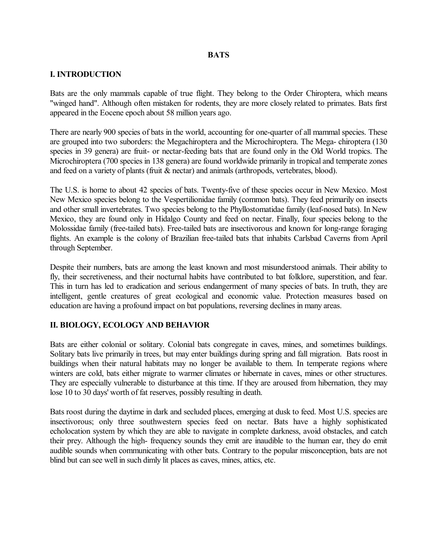## **BATS**

## **I. INTRODUCTION**

Bats are the only mammals capable of true flight. They belong to the Order Chiroptera, which means "winged hand". Although often mistaken for rodents, they are more closely related to primates. Bats first appeared in the Eocene epoch about 58 million years ago.

There are nearly 900 species of bats in the world, accounting for one-quarter of all mammal species. These are grouped into two suborders: the Megachiroptera and the Microchiroptera. The Mega-chiroptera (130) species in 39 genera) are fruit- or nectar-feeding bats that are found only in the Old World tropics. The Microchiroptera (700 species in 138 genera) are found worldwide primarily in tropical and temperate zones and feed on a variety of plants (fruit & nectar) and animals (arthropods, vertebrates, blood).

The U.S. is home to about 42 species of bats. Twenty-five of these species occur in New Mexico. Most New Mexico species belong to the Vespertilionidae family (common bats). They feed primarily on insects and other small invertebrates. Two species belong to the Phyllostomatidae family (leaf-nosed bats). In New Mexico, they are found only in Hidalgo County and feed on nectar. Finally, four species belong to the Molossidae family (free-tailed bats). Free-tailed bats are insectivorous and known for long-range foraging flights. An example is the colony of Brazilian free-tailed bats that inhabits Carlsbad Caverns from April through September.

Despite their numbers, bats are among the least known and most misunderstood animals. Their ability to fly, their secretiveness, and their nocturnal habits have contributed to bat folklore, superstition, and fear. This in turn has led to eradication and serious endangerment of many species of bats. In truth, they are intelligent, gentle creatures of great ecological and economic value. Protection measures based on education are having a profound impact on bat populations, reversing declines in many areas.

#### **II. BIOLOGY, ECOLOGY AND BEHAVIOR**

Bats are either colonial or solitary. Colonial bats congregate in caves, mines, and sometimes buildings. Solitary bats live primarily in trees, but may enter buildings during spring and fall migration. Bats roost in buildings when their natural habitats may no longer be available to them. In temperate regions where winters are cold, bats either migrate to warmer climates or hibernate in caves, mines or other structures. They are especially vulnerable to disturbance at this time. If they are aroused from hibernation, they may lose 10 to 30 days' worth of fat reserves, possibly resulting in death.

Bats roost during the daytime in dark and secluded places, emerging at dusk to feed. Most U.S. species are insectivorous; only three southwestern species feed on nectar. Bats have a highly sophisticated echolocation system by which they are able to navigate in complete darkness, avoid obstacles, and catch their prey. Although the high- frequency sounds they emit are inaudible to the human ear, they do emit audible sounds when communicating with other bats. Contrary to the popular misconception, bats are not blind but can see well in such dimly lit places as caves, mines, attics, etc.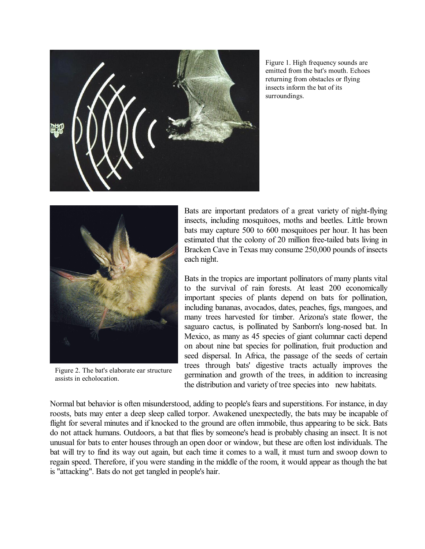

Figure 1. High frequency sounds are emitted from the bat's mouth. Echoes returning from obstacles or flying insects inform the bat of its surroundings.



Figure 2. The bat's elaborate ear structure assists in echolocation.

Bats are important predators of a great variety of night-flying insects, including mosquitoes, moths and beetles. Little brown bats may capture 500 to 600 mosquitoes per hour. It has been estimated that the colony of 20 million free-tailed bats living in Bracken Cave in Texas may consume 250,000 pounds of insects each night.

Bats in the tropics are important pollinators of many plants vital to the survival of rain forests. At least 200 economically important species of plants depend on bats for pollination, including bananas, avocados, dates, peaches, figs, mangoes, and many trees harvested for timber. Arizona's state flower, the saguaro cactus, is pollinated by Sanborn's long-nosed bat. In Mexico, as many as 45 species of giant columnar cacti depend on about nine bat species for pollination, fruit production and seed dispersal. In Africa, the passage of the seeds of certain trees through bats' digestive tracts actually improves the germination and growth of the trees, in addition to increasing the distribution and variety of tree species into new habitats.

Normal bat behavior is often misunderstood, adding to people's fears and superstitions. For instance, in day roosts, bats may enter a deep sleep called torpor. Awakened unexpectedly, the bats may be incapable of flight for several minutes and if knocked to the ground are often immobile, thus appearing to be sick. Bats do not attack humans. Outdoors, a bat that flies by someone's head is probably chasing an insect. It is not unusual for bats to enter houses through an open door or window, but these are often lost individuals. The bat will try to find its way out again, but each time it comes to a wall, it must turn and swoop down to regain speed. Therefore, if you were standing in the middle of the room, it would appear as though the bat is "attacking". Bats do not get tangled in people's hair.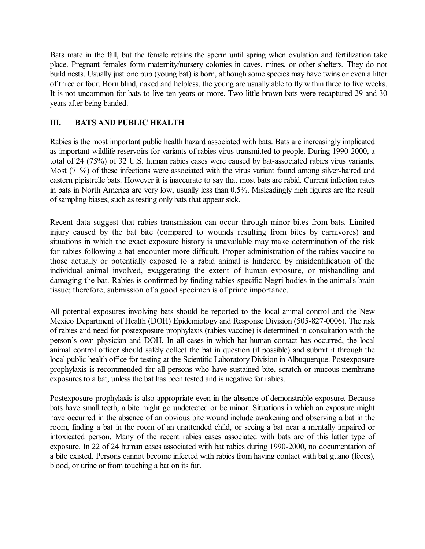Bats mate in the fall, but the female retains the sperm until spring when ovulation and fertilization take place. Pregnant females form maternity/nursery colonies in caves, mines, or other shelters. They do not build nests. Usually just one pup (young bat) is born, although some species may have twins or even a litter of three or four. Born blind, naked and helpless, the young are usually able to fly within three to five weeks. It is not uncommon for bats to live ten years or more. Two little brown bats were recaptured 29 and 30 years after being banded.

## **III. BATS AND PUBLIC HEALTH**

Rabies is the most important public health hazard associated with bats. Bats are increasingly implicated as important wildlife reservoirs for variants of rabies virus transmitted to people. During 1990-2000, a total of 24 (75%) of 32 U.S. human rabies cases were caused by bat-associated rabies virus variants. Most (71%) of these infections were associated with the virus variant found among silver-haired and eastern pipistrelle bats. However it is inaccurate to say that most bats are rabid. Current infection rates in bats in North America are very low, usually less than 0.5%. Misleadingly high figures are the result ofsampling biases, such as testing only bats that appear sick.

Recent data suggest that rabies transmission can occur through minor bites from bats. Limited injury caused by the bat bite (compared to wounds resulting from bites by carnivores) and situations in which the exact exposure history is unavailable may make determination of the risk for rabies following a bat encounter more difficult. Proper administration of the rabies vaccine to those actually or potentially exposed to a rabid animal is hindered by misidentification of the individual animal involved, exaggerating the extent of human exposure, or mishandling and damaging the bat. Rabies is confirmed by finding rabies-specific Negri bodies in the animal's brain tissue; therefore, submission of a good specimen is of prime importance.

All potential exposures involving bats should be reported to the local animal control and the New Mexico Department of Health (DOH) Epidemiology and Response Division (505-827-0006). The risk of rabies and need for postexposure prophylaxis (rabies vaccine) is determined in consultation with the person's own physician and DOH. In all cases in which bat-human contact has occurred, the local animal control officer should safely collect the bat in question (if possible) and submit it through the local public health office for testing at the Scientific Laboratory Division in Albuquerque. Postexposure prophylaxis is recommended for all persons who have sustained bite, scratch or mucous membrane exposures to a bat, unless the bat has been tested and is negative for rabies.

Postexposure prophylaxis is also appropriate even in the absence of demonstrable exposure. Because bats have small teeth, a bite might go undetected or be minor. Situations in which an exposure might have occurred in the absence of an obvious bite wound include awakening and observing a bat in the room, finding a bat in the room of an unattended child, or seeing a bat near a mentally impaired or intoxicated person. Many of the recent rabies cases associated with bats are of this latter type of exposure. In 22 of 24 human cases associated with bat rabies during 1990-2000, no documentation of a bite existed. Persons cannot become infected with rabies from having contact with bat guano (feces), blood, or urine or from touching a bat on its fur.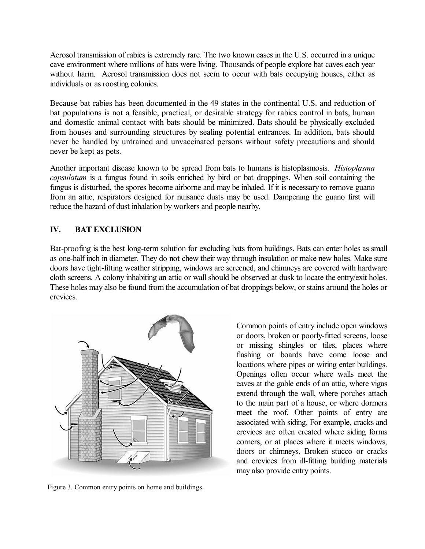Aerosol transmission of rabies is extremely rare. The two known cases in the U.S. occurred in a unique cave environment where millions of bats were living. Thousands of people explore bat caves each year without harm. Aerosol transmission does not seem to occur with bats occupying houses, either as individuals or as roosting colonies.

Because bat rabies has been documented in the 49 states in the continental U.S. and reduction of bat populations is not a feasible, practical, or desirable strategy for rabies control in bats, human and domestic animal contact with bats should be minimized. Bats should be physically excluded from houses and surrounding structures by sealing potential entrances. In addition, bats should never be handled by untrained and unvaccinated persons without safety precautions and should never be kept as pets.

Another important disease known to be spread from bats to humans is histoplasmosis. *Histoplasma capsulatum* is a fungus found in soils enriched by bird or bat droppings. When soil containing the fungus is disturbed, the spores become airborne and may be inhaled. If it is necessary to remove guano from an attic, respirators designed for nuisance dusts may be used. Dampening the guano first will reduce the hazard of dust inhalation by workers and people nearby.

# **IV. BAT EXCLUSION**

Bat-proofing is the best long-term solution for excluding bats from buildings. Bats can enter holes as small as one-half inch in diameter. They do not chew their way through insulation or make new holes. Make sure doors have tight-fitting weather stripping, windows are screened, and chimneys are covered with hardware cloth screens. A colony inhabiting an attic or wall should be observed at dusk to locate the entry/exit holes. These holes may also be found from the accumulation of bat droppings below, or stains around the holes or crevices.



Figure 3. Common entry points on home and buildings.

Common points of entry include open windows or doors, broken or poorly-fitted screens, loose or missing shingles or tiles, places where flashing or boards have come loose and locations where pipes or wiring enter buildings. Openings often occur where walls meet the eaves at the gable ends of an attic, where vigas extend through the wall, where porches attach to the main part of a house, or where dormers meet the roof. Other points of entry are associated with siding. For example, cracks and crevices are often created where siding forms corners, or at places where it meets windows, doors or chimneys. Broken stucco or cracks and crevices from ill-fitting building materials may also provide entry points.